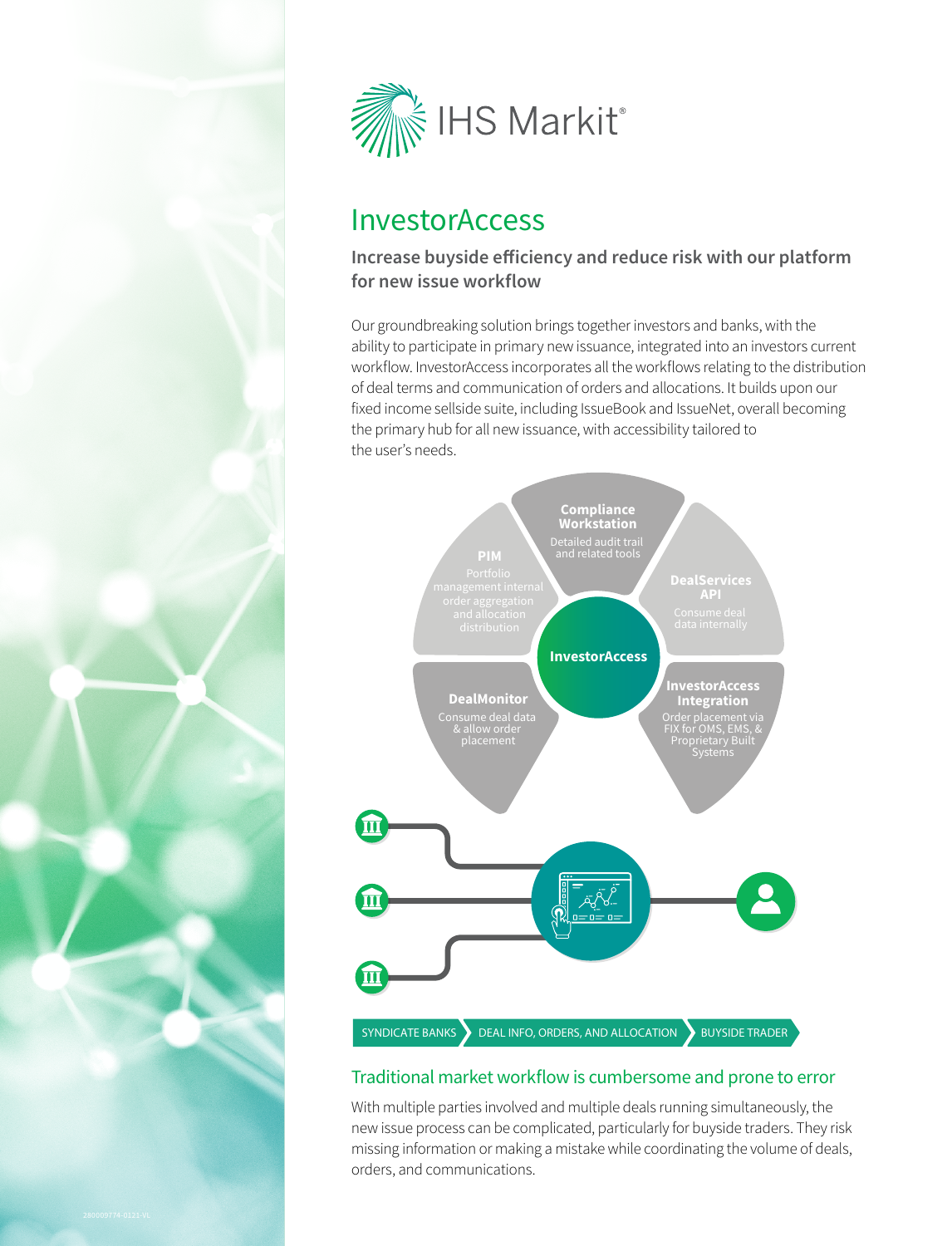



# InvestorAccess

## **Increase buyside efficiency and reduce risk with our platform for new issue workflow**

Our groundbreaking solution brings together investors and banks, with the ability to participate in primary new issuance, integrated into an investors current workflow. InvestorAccess incorporates all the workflows relating to the distribution of deal terms and communication of orders and allocations. It builds upon our fixed income sellside suite, including IssueBook and IssueNet, overall becoming the primary hub for all new issuance, with accessibility tailored to the user's needs.



### Traditional market workflow is cumbersome and prone to error

With multiple parties involved and multiple deals running simultaneously, the new issue process can be complicated, particularly for buyside traders. They risk missing information or making a mistake while coordinating the volume of deals, orders, and communications.